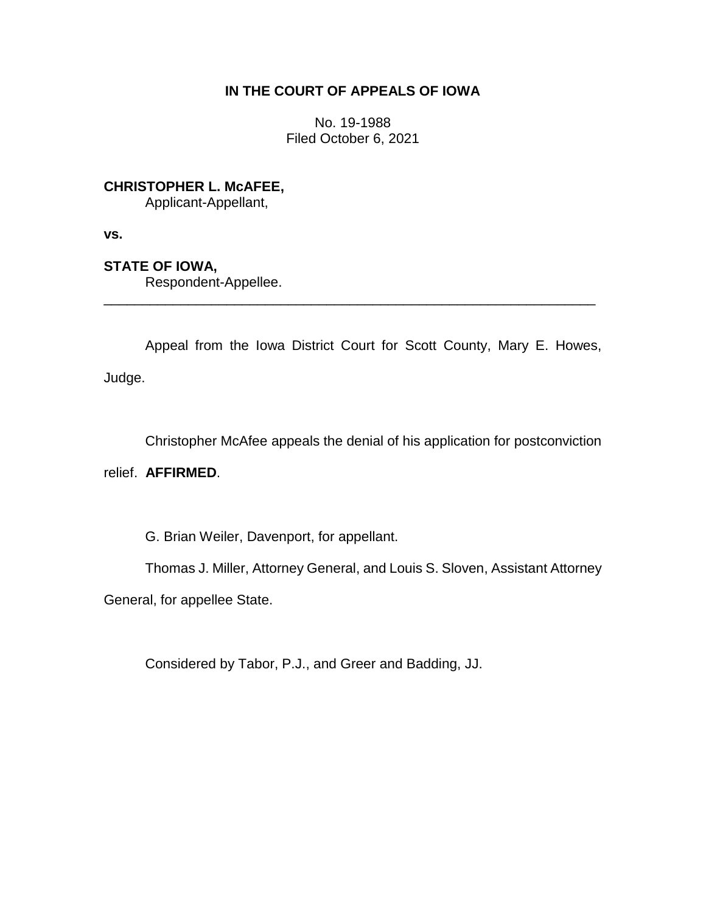# **IN THE COURT OF APPEALS OF IOWA**

No. 19-1988 Filed October 6, 2021

**CHRISTOPHER L. McAFEE,**

Applicant-Appellant,

**vs.**

**STATE OF IOWA,**

Respondent-Appellee.

Appeal from the Iowa District Court for Scott County, Mary E. Howes, Judge.

\_\_\_\_\_\_\_\_\_\_\_\_\_\_\_\_\_\_\_\_\_\_\_\_\_\_\_\_\_\_\_\_\_\_\_\_\_\_\_\_\_\_\_\_\_\_\_\_\_\_\_\_\_\_\_\_\_\_\_\_\_\_\_\_

Christopher McAfee appeals the denial of his application for postconviction

relief. **AFFIRMED**.

G. Brian Weiler, Davenport, for appellant.

Thomas J. Miller, Attorney General, and Louis S. Sloven, Assistant Attorney

General, for appellee State.

Considered by Tabor, P.J., and Greer and Badding, JJ.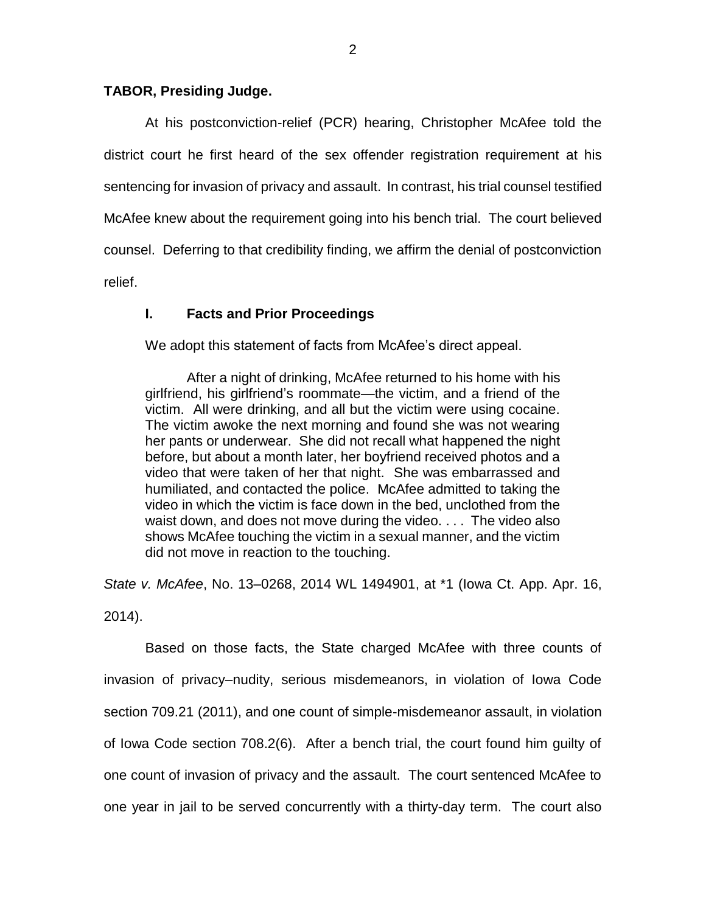### **TABOR, Presiding Judge.**

At his postconviction-relief (PCR) hearing, Christopher McAfee told the district court he first heard of the sex offender registration requirement at his sentencing for invasion of privacy and assault. In contrast, his trial counsel testified McAfee knew about the requirement going into his bench trial. The court believed counsel. Deferring to that credibility finding, we affirm the denial of postconviction relief.

## **I. Facts and Prior Proceedings**

We adopt this statement of facts from McAfee's direct appeal.

After a night of drinking, McAfee returned to his home with his girlfriend, his girlfriend's roommate—the victim, and a friend of the victim. All were drinking, and all but the victim were using cocaine. The victim awoke the next morning and found she was not wearing her pants or underwear. She did not recall what happened the night before, but about a month later, her boyfriend received photos and a video that were taken of her that night. She was embarrassed and humiliated, and contacted the police. McAfee admitted to taking the video in which the victim is face down in the bed, unclothed from the waist down, and does not move during the video. . . . The video also shows McAfee touching the victim in a sexual manner, and the victim did not move in reaction to the touching.

*State v. McAfee*, No. 13–0268, 2014 WL 1494901, at \*1 (Iowa Ct. App. Apr. 16, 2014).

Based on those facts, the State charged McAfee with three counts of invasion of privacy–nudity, serious misdemeanors, in violation of Iowa Code section 709.21 (2011), and one count of simple-misdemeanor assault, in violation of Iowa Code section 708.2(6). After a bench trial, the court found him guilty of one count of invasion of privacy and the assault. The court sentenced McAfee to one year in jail to be served concurrently with a thirty-day term. The court also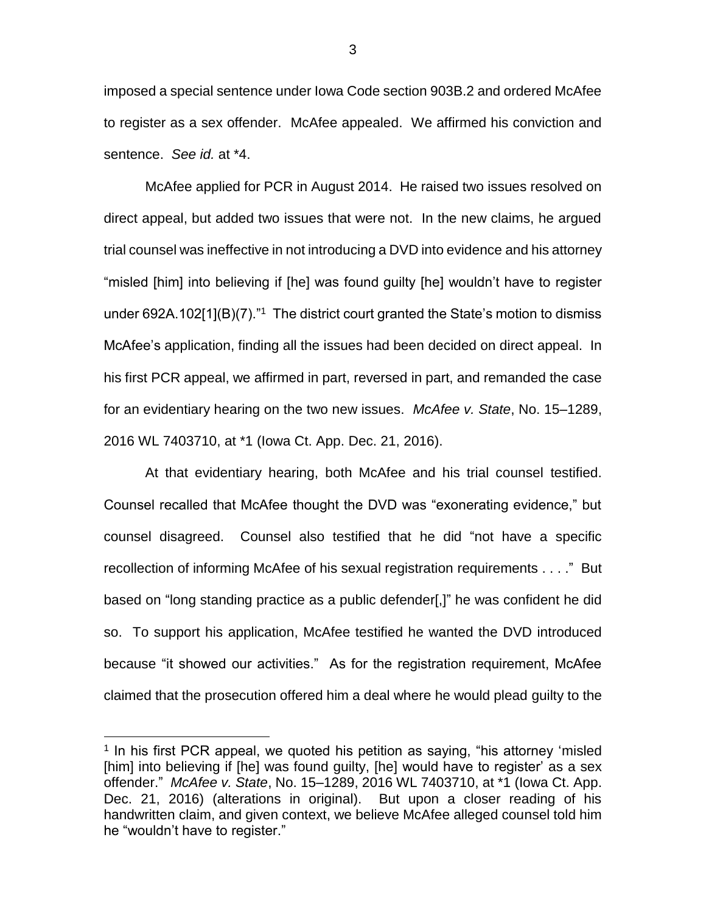imposed a special sentence under Iowa Code section 903B.2 and ordered McAfee to register as a sex offender. McAfee appealed. We affirmed his conviction and sentence. *See id.* at \*4.

McAfee applied for PCR in August 2014. He raised two issues resolved on direct appeal, but added two issues that were not. In the new claims, he argued trial counsel was ineffective in not introducing a DVD into evidence and his attorney "misled [him] into believing if [he] was found guilty [he] wouldn't have to register under 692A.102[1](B)(7)."<sup>1</sup> The district court granted the State's motion to dismiss McAfee's application, finding all the issues had been decided on direct appeal. In his first PCR appeal, we affirmed in part, reversed in part, and remanded the case for an evidentiary hearing on the two new issues. *McAfee v. State*, No. 15–1289, 2016 WL 7403710, at \*1 (Iowa Ct. App. Dec. 21, 2016).

At that evidentiary hearing, both McAfee and his trial counsel testified. Counsel recalled that McAfee thought the DVD was "exonerating evidence," but counsel disagreed. Counsel also testified that he did "not have a specific recollection of informing McAfee of his sexual registration requirements . . . ." But based on "long standing practice as a public defender[,]" he was confident he did so. To support his application, McAfee testified he wanted the DVD introduced because "it showed our activities." As for the registration requirement, McAfee claimed that the prosecution offered him a deal where he would plead guilty to the

 $\overline{a}$ 

3

<sup>&</sup>lt;sup>1</sup> In his first PCR appeal, we quoted his petition as saying, "his attorney 'misled [him] into believing if [he] was found guilty, [he] would have to register' as a sex offender." *McAfee v. State*, No. 15–1289, 2016 WL 7403710, at \*1 (Iowa Ct. App. Dec. 21, 2016) (alterations in original). But upon a closer reading of his handwritten claim, and given context, we believe McAfee alleged counsel told him he "wouldn't have to register."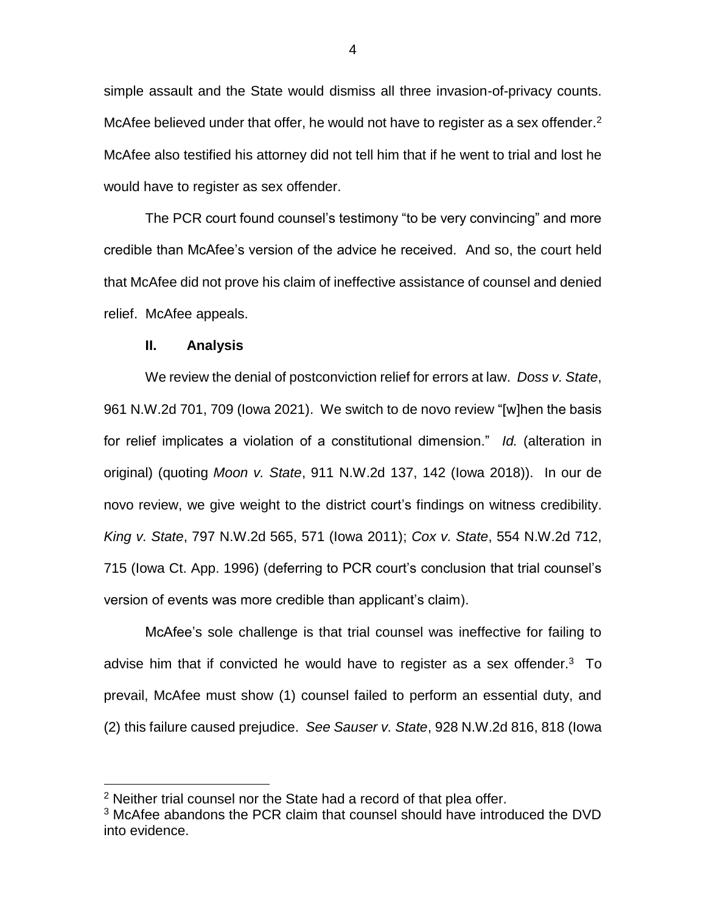simple assault and the State would dismiss all three invasion-of-privacy counts. McAfee believed under that offer, he would not have to register as a sex offender. $2$ McAfee also testified his attorney did not tell him that if he went to trial and lost he would have to register as sex offender.

The PCR court found counsel's testimony "to be very convincing" and more credible than McAfee's version of the advice he received. And so, the court held that McAfee did not prove his claim of ineffective assistance of counsel and denied relief. McAfee appeals.

### **II. Analysis**

 $\overline{a}$ 

We review the denial of postconviction relief for errors at law. *Doss v. State*, 961 N.W.2d 701, 709 (Iowa 2021). We switch to de novo review "[w]hen the basis for relief implicates a violation of a constitutional dimension." *Id.* (alteration in original) (quoting *Moon v. State*, 911 N.W.2d 137, 142 (Iowa 2018)). In our de novo review, we give weight to the district court's findings on witness credibility. *King v. State*, 797 N.W.2d 565, 571 (Iowa 2011); *Cox v. State*, 554 N.W.2d 712, 715 (Iowa Ct. App. 1996) (deferring to PCR court's conclusion that trial counsel's version of events was more credible than applicant's claim).

McAfee's sole challenge is that trial counsel was ineffective for failing to advise him that if convicted he would have to register as a sex offender. $3$  To prevail, McAfee must show (1) counsel failed to perform an essential duty, and (2) this failure caused prejudice. *See Sauser v. State*, 928 N.W.2d 816, 818 (Iowa

 $2$  Neither trial counsel nor the State had a record of that plea offer.

 $3$  McAfee abandons the PCR claim that counsel should have introduced the DVD into evidence.